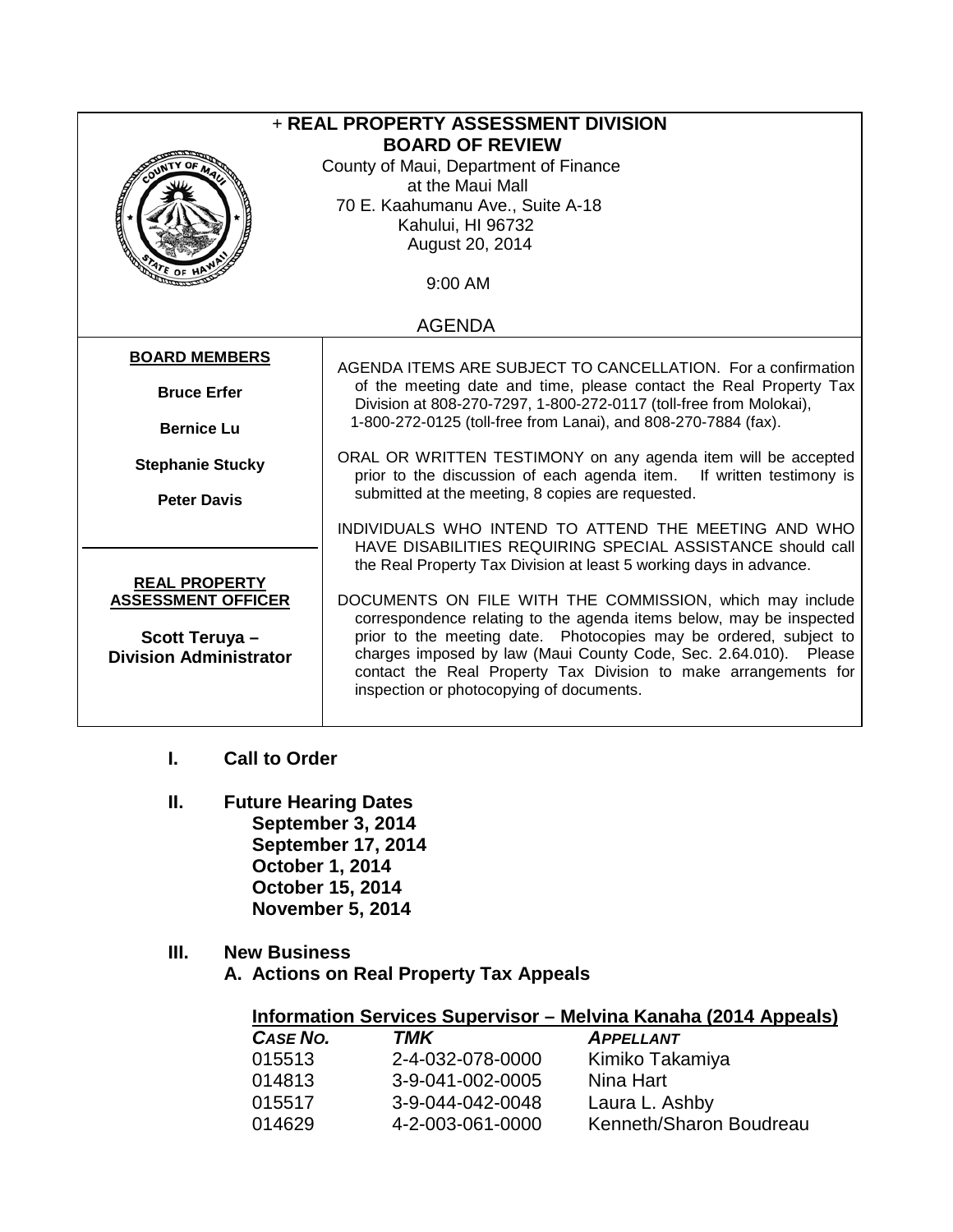| + REAL PROPERTY ASSESSMENT DIVISION<br><b>BOARD OF REVIEW</b><br>County of Maui, Department of Finance<br>at the Maui Mall<br>70 E. Kaahumanu Ave., Suite A-18<br>Kahului, HI 96732 |                                                                                                                                                                                                                                                                                                                                                                                         |  |  |  |
|-------------------------------------------------------------------------------------------------------------------------------------------------------------------------------------|-----------------------------------------------------------------------------------------------------------------------------------------------------------------------------------------------------------------------------------------------------------------------------------------------------------------------------------------------------------------------------------------|--|--|--|
| August 20, 2014<br>$9:00$ AM                                                                                                                                                        |                                                                                                                                                                                                                                                                                                                                                                                         |  |  |  |
| <b>AGENDA</b>                                                                                                                                                                       |                                                                                                                                                                                                                                                                                                                                                                                         |  |  |  |
| <b>BOARD MEMBERS</b>                                                                                                                                                                | AGENDA ITEMS ARE SUBJECT TO CANCELLATION. For a confirmation                                                                                                                                                                                                                                                                                                                            |  |  |  |
| <b>Bruce Erfer</b>                                                                                                                                                                  | of the meeting date and time, please contact the Real Property Tax<br>Division at 808-270-7297, 1-800-272-0117 (toll-free from Molokai),                                                                                                                                                                                                                                                |  |  |  |
| <b>Bernice Lu</b>                                                                                                                                                                   | 1-800-272-0125 (toll-free from Lanai), and 808-270-7884 (fax).                                                                                                                                                                                                                                                                                                                          |  |  |  |
| <b>Stephanie Stucky</b>                                                                                                                                                             | ORAL OR WRITTEN TESTIMONY on any agenda item will be accepted<br>prior to the discussion of each agenda item. If written testimony is<br>submitted at the meeting, 8 copies are requested.                                                                                                                                                                                              |  |  |  |
| <b>Peter Davis</b>                                                                                                                                                                  |                                                                                                                                                                                                                                                                                                                                                                                         |  |  |  |
| <b>REAL PROPERTY</b>                                                                                                                                                                | INDIVIDUALS WHO INTEND TO ATTEND THE MEETING AND WHO<br>HAVE DISABILITIES REQUIRING SPECIAL ASSISTANCE should call<br>the Real Property Tax Division at least 5 working days in advance.                                                                                                                                                                                                |  |  |  |
| <b>ASSESSMENT OFFICER</b><br>Scott Teruya-<br><b>Division Administrator</b>                                                                                                         | DOCUMENTS ON FILE WITH THE COMMISSION, which may include<br>correspondence relating to the agenda items below, may be inspected<br>prior to the meeting date. Photocopies may be ordered, subject to<br>charges imposed by law (Maui County Code, Sec. 2.64.010). Please<br>contact the Real Property Tax Division to make arrangements for<br>inspection or photocopying of documents. |  |  |  |

- **I. Call to Order**
- **II. Future Hearing Dates September 3, 2014 September 17, 2014 October 1, 2014 October 15, 2014 November 5, 2014**

## **III. New Business**

**A. Actions on Real Property Tax Appeals**

| Information Services Supervisor – Melvina Kanaha (2014 Appeals) |                  |                         |  |  |
|-----------------------------------------------------------------|------------------|-------------------------|--|--|
| CASE NO.                                                        | TMK              | <b>APPELLANT</b>        |  |  |
| 015513                                                          | 2-4-032-078-0000 | Kimiko Takamiya         |  |  |
| 014813                                                          | 3-9-041-002-0005 | Nina Hart               |  |  |
| 015517                                                          | 3-9-044-042-0048 | Laura L. Ashby          |  |  |
| 014629                                                          | 4-2-003-061-0000 | Kenneth/Sharon Boudreau |  |  |